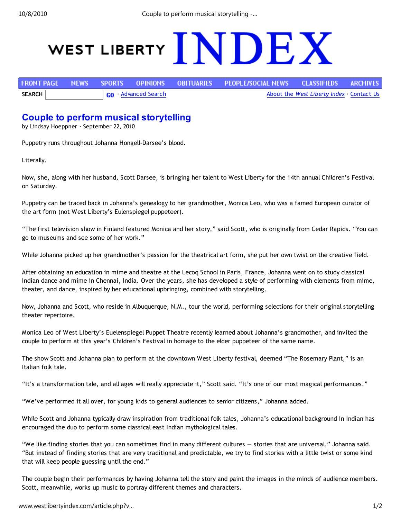10/8/2010 Couple to perform musical storytelling -…

## WEST LIBERTY NDEX

|               |                           |  |  |  | FRONT PAGE NEWS SPORTS OPINIONS OBITUARIES PEOPLE/SOCIAL.NEWS CLASSIFIEDS ARCHIVES. |  |  |
|---------------|---------------------------|--|--|--|-------------------------------------------------------------------------------------|--|--|
| <b>SEARCH</b> | <b>GO</b> Advanced Search |  |  |  | About the West Liberty Index Contact Us                                             |  |  |

## Couple to perform musical storytelling

by Lindsay Hoeppner · September 22, 2010

Puppetry runs throughout Johanna Hongell-Darsee's blood.

Literally.

Now, she, along with her husband, Scott Darsee, is bringing her talent to West Liberty for the 14th annual Children's Festival on Saturday.

Puppetry can be traced back in Johanna's genealogy to her grandmother, Monica Leo, who was a famed European curator of the art form (not West Liberty's Eulenspiegel puppeteer).

"The first television show in Finland featured Monica and her story," said Scott, who is originally from Cedar Rapids. "You can go to museums and see some of her work."

While Johanna picked up her grandmother's passion for the theatrical art form, she put her own twist on the creative field.

After obtaining an education in mime and theatre at the Lecoq School in Paris, France, Johanna went on to study classical Indian dance and mime in Chennai, India. Over the years, she has developed a style of performing with elements from mime, theater, and dance, inspired by her educational upbringing, combined with storytelling.

Now, Johanna and Scott, who reside in Albuquerque, N.M., tour the world, performing selections for their original storytelling theater repertoire.

Monica Leo of West Liberty's Euelenspiegel Puppet Theatre recently learned about Johanna's grandmother, and invited the couple to perform at this year's Children's Festival in homage to the elder puppeteer of the same name.

The show Scott and Johanna plan to perform at the downtown West Liberty festival, deemed "The Rosemary Plant," is an Italian folk tale.

"It's a transformation tale, and all ages will really appreciate it," Scott said. "It's one of our most magical performances."

"We've performed it all over, for young kids to general audiences to senior citizens," Johanna added.

While Scott and Johanna typically draw inspiration from traditional folk tales, Johanna's educational background in Indian has encouraged the duo to perform some classical east Indian mythological tales.

"We like finding stories that you can sometimes find in many different cultures — stories that are universal," Johanna said. "But instead of finding stories that are very traditional and predictable, we try to find stories with a little twist or some kind that will keep people guessing until the end."

The couple begin their performances by having Johanna tell the story and paint the images in the minds of audience members. Scott, meanwhile, works up music to portray different themes and characters.

www.westlibertyindex.com/article.php?v... 1/2